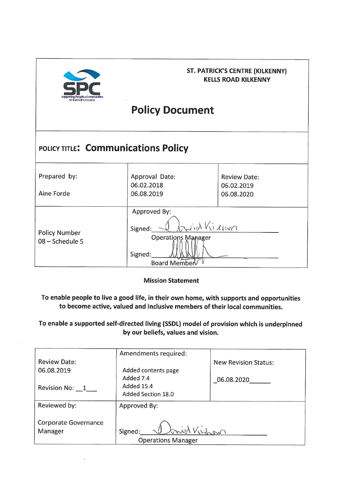

### ST. PATRICK'S CENTRE (KILKENNY) **KELLS ROAD KILKENNY**

# **Policy Document**

| POLICY TITLE: Communications Policy     |                                                                                                     |                                                 |  |  |  |  |
|-----------------------------------------|-----------------------------------------------------------------------------------------------------|-------------------------------------------------|--|--|--|--|
| Prepared by:<br>Aine Forde              | Approval Date:<br>06.02.2018<br>06.08.2019                                                          | <b>Review Date:</b><br>06.02.2019<br>06.08.2020 |  |  |  |  |
| <b>Policy Number</b><br>08 - Schedule 5 | Approved By:<br>id Killan<br>Signed:<br><b>Operations Manager</b><br>Signed:<br><b>Board Member</b> |                                                 |  |  |  |  |

**Mission Statement** 

To enable people to live a good life, in their own home, with supports and opportunities to become active, valued and inclusive members of their local communities.

To enable a supported self-directed living (SSDL) model of provision which is underpinned by our beliefs, values and vision.

|                      | Amendments required:      |                             |  |
|----------------------|---------------------------|-----------------------------|--|
| <b>Review Date:</b>  |                           | <b>New Revision Status:</b> |  |
| 06.08.2019           | Added contents page       |                             |  |
|                      | Added 7.4                 | 06.08.2020                  |  |
| Revision No: 1       | Added 15.4                |                             |  |
|                      | Added Section 18.0        |                             |  |
| Reviewed by:         | Approved By:              |                             |  |
|                      |                           |                             |  |
| Corporate Governance |                           |                             |  |
| Manager              | Jonich Virgin<br>Signed:  |                             |  |
|                      | <b>Operations Manager</b> |                             |  |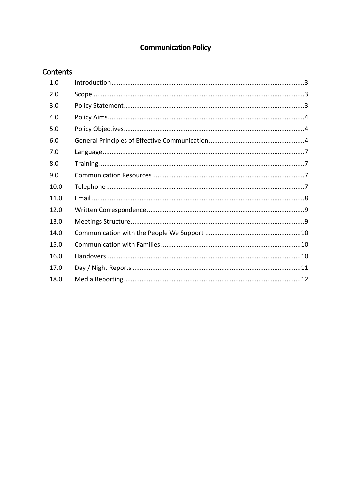# **Communication Policy**

## Contents

| 1.0  |  |
|------|--|
| 2.0  |  |
| 3.0  |  |
| 4.0  |  |
| 5.0  |  |
| 6.0  |  |
| 7.0  |  |
| 8.0  |  |
| 9.0  |  |
| 10.0 |  |
| 11.0 |  |
| 12.0 |  |
| 13.0 |  |
| 14.0 |  |
| 15.0 |  |
| 16.0 |  |
| 17.0 |  |
| 18.0 |  |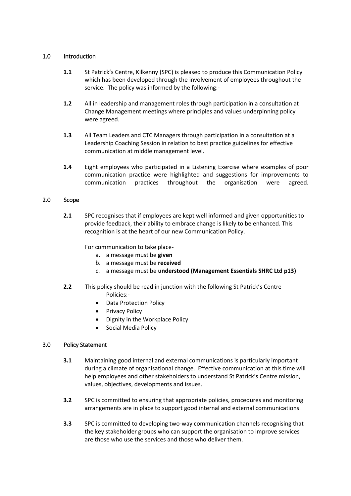#### <span id="page-2-0"></span>1.0 Introduction

- 1.1 St Patrick's Centre, Kilkenny (SPC) is pleased to produce this Communication Policy which has been developed through the involvement of employees throughout the service. The policy was informed by the following:-
- **1.2** All in leadership and management roles through participation in a consultation at Change Management meetings where principles and values underpinning policy were agreed.
- **1.3** All Team Leaders and CTC Managers through participation in a consultation at a Leadership Coaching Session in relation to best practice guidelines for effective communication at middle management level.
- **1.4** Eight employees who participated in a Listening Exercise where examples of poor communication practice were highlighted and suggestions for improvements to communication practices throughout the organisation were agreed.

#### <span id="page-2-1"></span>2.0 Scope

**2.1** SPC recognises that if employees are kept well informed and given opportunities to provide feedback, their ability to embrace change is likely to be enhanced. This recognition is at the heart of our new Communication Policy.

For communication to take place-

- a. a message must be **given**
- b. a message must be **received**
- c. a message must be **understood (Management Essentials SHRC Ltd p13)**
- **2.2** This policy should be read in junction with the following St Patrick's Centre Policies:-
	- Data Protection Policy
	- Privacy Policy
	- Dignity in the Workplace Policy
	- Social Media Policy

#### <span id="page-2-2"></span>3.0 Policy Statement

- **3.1** Maintaining good internal and external communications is particularly important during a climate of organisational change. Effective communication at this time will help employees and other stakeholders to understand St Patrick's Centre mission, values, objectives, developments and issues.
- **3.2** SPC is committed to ensuring that appropriate policies, procedures and monitoring arrangements are in place to support good internal and external communications.
- **3.3** SPC is committed to developing two-way communication channels recognising that the key stakeholder groups who can support the organisation to improve services are those who use the services and those who deliver them.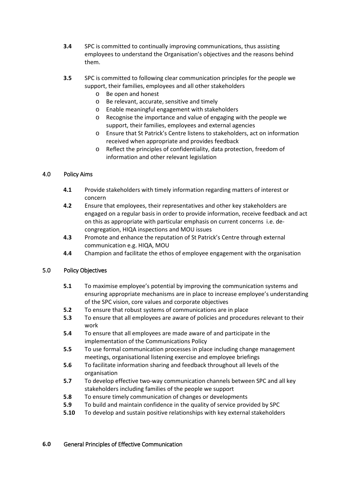- **3.4** SPC is committed to continually improving communications, thus assisting employees to understand the Organisation's objectives and the reasons behind them.
- **3.5** SPC is committed to following clear communication principles for the people we support, their families, employees and all other stakeholders
	- o Be open and honest
	- o Be relevant, accurate, sensitive and timely
	- o Enable meaningful engagement with stakeholders
	- o Recognise the importance and value of engaging with the people we support, their families, employees and external agencies
	- o Ensure that St Patrick's Centre listens to stakeholders, act on information received when appropriate and provides feedback
	- o Reflect the principles of confidentiality, data protection, freedom of information and other relevant legislation

#### <span id="page-3-0"></span>4.0 Policy Aims

- **4.1** Provide stakeholders with timely information regarding matters of interest or concern
- **4.2** Ensure that employees, their representatives and other key stakeholders are engaged on a regular basis in order to provide information, receive feedback and act on this as appropriate with particular emphasis on current concerns i.e. decongregation, HIQA inspections and MOU issues
- **4.3** Promote and enhance the reputation of St Patrick's Centre through external communication e.g. HIQA, MOU
- **4.4** Champion and facilitate the ethos of employee engagement with the organisation

#### <span id="page-3-1"></span>5.0 Policy Objectives

- **5.1** To maximise employee's potential by improving the communication systems and ensuring appropriate mechanisms are in place to increase employee's understanding of the SPC vision, core values and corporate objectives
- **5.2** To ensure that robust systems of communications are in place
- **5.3** To ensure that all employees are aware of policies and procedures relevant to their work
- **5.4** To ensure that all employees are made aware of and participate in the implementation of the Communications Policy
- **5.5** To use formal communication processes in place including change management meetings, organisational listening exercise and employee briefings
- **5.6** To facilitate information sharing and feedback throughout all levels of the organisation
- **5.7** To develop effective two-way communication channels between SPC and all key stakeholders including families of the people we support
- **5.8** To ensure timely communication of changes or developments
- **5.9** To build and maintain confidence in the quality of service provided by SPC
- **5.10** To develop and sustain positive relationships with key external stakeholders

#### <span id="page-3-2"></span>**6.0** General Principles of Effective Communication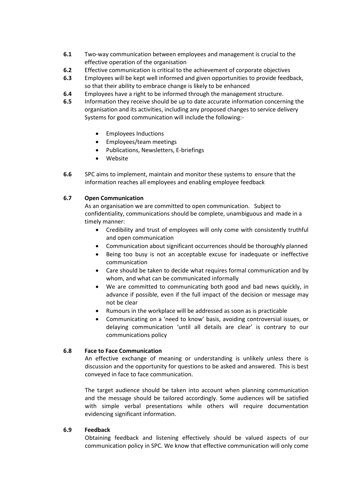- **6.1** Two-way communication between employees and management is crucial to the effective operation of the organisation
- **6.2** Effective communication is critical to the achievement of corporate objectives
- **6.3** Employees will be kept well informed and given opportunities to provide feedback, so that their ability to embrace change is likely to be enhanced
- **6.4** Employees have a right to be informed through the management structure.
- **6.5** Information they receive should be up to date accurate information concerning the organisation and its activities, including any proposed changes to service delivery Systems for good communication will include the following:-
	- Employees Inductions
	- Employees/team meetings
	- Publications, Newsletters, E-briefings
	- Website
- **6.6** SPC aims to implement, maintain and monitor these systems to ensure that the information reaches all employees and enabling employee feedback

#### **6.7 Open Communication**

As an organisation we are committed to open communication. Subject to confidentiality, communications should be complete, unambiguous and made in a timely manner:

- Credibility and trust of employees will only come with consistently truthful and open communication
- Communication about significant occurrences should be thoroughly planned
- Being too busy is not an acceptable excuse for inadequate or ineffective communication
- Care should be taken to decide what requires formal communication and by whom, and what can be communicated informally
- We are committed to communicating both good and bad news quickly, in advance if possible, even if the full impact of the decision or message may not be clear
- Rumours in the workplace will be addressed as soon as is practicable
- Communicating on a 'need to know' basis, avoiding controversial issues, or delaying communication 'until all details are clear' is contrary to our communications policy

#### **6.8 Face to Face Communication**

An effective exchange of meaning or understanding is unlikely unless there is discussion and the opportunity for questions to be asked and answered. This is best conveyed in face to face communication.

The target audience should be taken into account when planning communication and the message should be tailored accordingly. Some audiences will be satisfied with simple verbal presentations while others will require documentation evidencing significant information.

#### **6.9 Feedback**

Obtaining feedback and listening effectively should be valued aspects of our communication policy in SPC. We know that effective communication will only come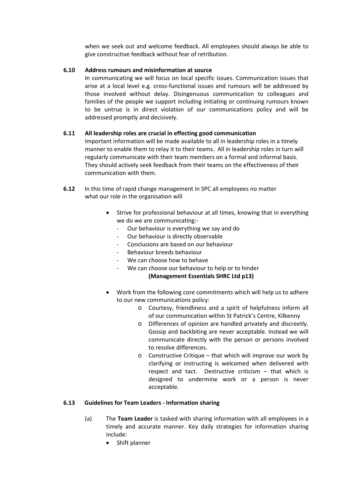when we seek out and welcome feedback. All employees should always be able to give constructive feedback without fear of retribution.

#### **6.10 Address rumours and misinformation at source**

In communicating we will focus on local specific issues. Communication issues that arise at a local level e.g. cross-functional issues and rumours will be addressed by those involved without delay. Disingenuous communication to colleagues and families of the people we support including initiating or continuing rumours known to be untrue is in direct violation of our communications policy and will be addressed promptly and decisively.

#### **6.11 All leadership roles are crucial in effecting good communication**

Important information will be made available to all in leadership roles in a timely manner to enable them to relay it to their teams. All in leadership roles in turn will regularly communicate with their team members on a formal and informal basis. They should actively seek feedback from their teams on the effectiveness of their communication with them.

- **6.12** In this time of rapid change management in SPC all employees no matter what our role in the organisation will
	- Strive for professional behaviour at all times, knowing that in everything we do we are communicating:-
		- Our behaviour is everything we say and do
		- Our behaviour is directly observable
		- Conclusions are based on our behaviour
		- Behaviour breeds behaviour
		- We can choose how to behave
		- We can choose our behaviour to help or to hinder

#### **(Management Essentials SHRC Ltd p13)**

- Work from the following core commitments which will help us to adhere to our new communications policy:
	- o Courtesy, friendliness and a spirit of helpfulness inform all of our communication within St Patrick's Centre, Kilkenny
	- o Differences of opinion are handled privately and discreetly. Gossip and backbiting are never acceptable. Instead we will communicate directly with the person or persons involved to resolve differences.
	- o Constructive Critique that which will improve our work by clarifying or instructing is welcomed when delivered with respect and tact. Destructive criticism – that which is designed to undermine work or a person is never acceptable.

#### **6.13 Guidelines for Team Leaders - Information sharing**

- (a) The **Team Leader** is tasked with sharing information with all employees in a timely and accurate manner. Key daily strategies for information sharing include:
	- Shift planner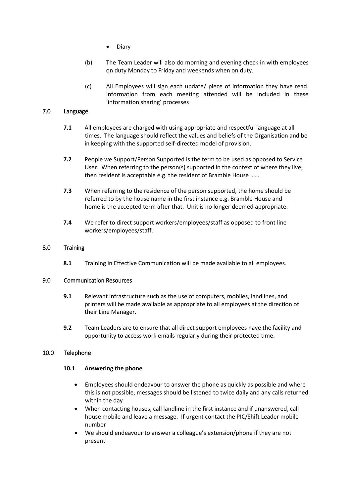- Diary
- (b) The Team Leader will also do morning and evening check in with employees on duty Monday to Friday and weekends when on duty.
- (c) All Employees will sign each update/ piece of information they have read. Information from each meeting attended will be included in these 'information sharing' processes

#### <span id="page-6-0"></span>7.0 Language

- **7.1** All employees are charged with using appropriate and respectful language at all times. The language should reflect the values and beliefs of the Organisation and be in keeping with the supported self-directed model of provision.
- **7.2** People we Support/Person Supported is the term to be used as opposed to Service User. When referring to the person(s) supported in the context of where they live, then resident is acceptable e.g. the resident of Bramble House ……
- **7.3** When referring to the residence of the person supported, the home should be referred to by the house name in the first instance e.g. Bramble House and home is the accepted term after that. Unit is no longer deemed appropriate.
- **7.4** We refer to direct support workers/employees/staff as opposed to front line workers/employees/staff.

#### <span id="page-6-1"></span>8.0 Training

**8.1** Training in Effective Communication will be made available to all employees.

#### <span id="page-6-2"></span>9.0 Communication Resources

- **9.1** Relevant infrastructure such as the use of computers, mobiles, landlines, and printers will be made available as appropriate to all employees at the direction of their Line Manager.
- **9.2** Team Leaders are to ensure that all direct support employees have the facility and opportunity to access work emails regularly during their protected time.

#### <span id="page-6-3"></span>10.0 Telephone

#### **10.1 Answering the phone**

- Employees should endeavour to answer the phone as quickly as possible and where this is not possible, messages should be listened to twice daily and any calls returned within the day
- When contacting houses, call landline in the first instance and if unanswered, call house mobile and leave a message. If urgent contact the PIC/Shift Leader mobile number
- We should endeavour to answer a colleague's extension/phone if they are not present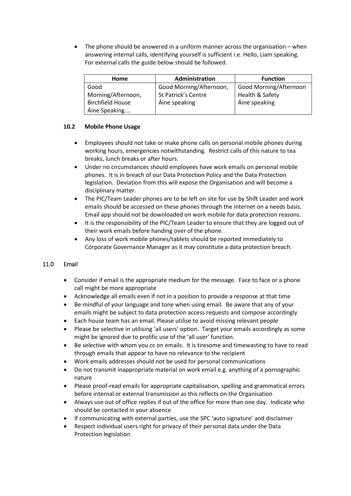The phone should be answered in a uniform manner across the organisation  $-$  when answering internal calls, identifying yourself is sufficient i.e. Hello, Liam speaking. For external calls the guide below should be followed.

| <b>Home</b>             | Administration          | <b>Function</b>        |
|-------------------------|-------------------------|------------------------|
| Good                    | Good Morning/Afternoon, | Good Morning/Afternoon |
| Morning/Afternoon,      | St Patrick's Centre     | Health & Safety        |
| <b>Birchfield House</b> | Áine speaking           | Áine speaking          |
| Áine Speaking           |                         |                        |

#### **10.2 Mobile Phone Usage**

- Employees should not take or make phone calls on personal mobile phones during working hours, emergencies notwithstanding. Restrict calls of this nature to tea breaks, lunch breaks or after hours.
- Under no circumstances should employees have work emails on personal mobile phones. It is in breach of our Data Protection Policy and the Data Protection legislation. Deviation from this will expose the Organisation and will become a disciplinary matter.
- The PIC/Team Leader phones are to be left on site for use by Shift Leader and work emails should be accessed on these phones through the internet on a needs basis. Email app should not be downloaded on work mobile for data protection reasons.
- It is the responsibility of the PIC/Team Leader to ensure that they are logged out of their work emails before handing over of the phone.
- Any loss of work mobile phones/tablets should be reported immediately to Corporate Governance Manager as it may constitute a data protection breach.

#### <span id="page-7-0"></span>11.0 Email

- Consider if email is the appropriate medium for the message. Face to face or a phone call might be more appropriate
- Acknowledge all emails even if not in a position to provide a response at that time
- Be mindful of your language and tone when using email. Be aware that any of your emails might be subject to data protection access requests and compose accordingly
- Each house team has an email. Please utilise to avoid missing relevant people
- Please be selective in utilising 'all users' option. Target your emails accordingly as some might be ignored due to prolific use of the 'all user' function.
- Be selective with whom you cc on emails. It is tiresome and timewasting to have to read through emails that appear to have no relevance to the recipient
- Work emails addresses should not be used for personal communications
- Do not transmit inappropriate material on work email e.g. anything of a pornographic nature
- Please proof-read emails for appropriate capitalisation, spelling and grammatical errors before internal or external transmission as this reflects on the Organisation
- Always use out of office replies if out of the office for more than one day. Indicate who should be contacted in your absence
- If communicating with external parties, use the SPC 'auto signature' and disclaimer
- Respect individual users right for privacy of their personal data under the Data Protection legislation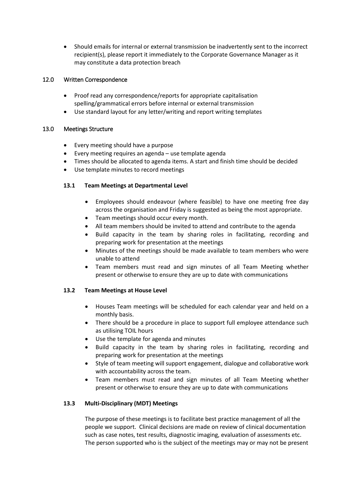• Should emails for internal or external transmission be inadvertently sent to the incorrect recipient(s), please report it immediately to the Corporate Governance Manager as it may constitute a data protection breach

#### <span id="page-8-0"></span>12.0 Written Correspondence

- Proof read any correspondence/reports for appropriate capitalisation spelling/grammatical errors before internal or external transmission
- Use standard layout for any letter/writing and report writing templates

#### <span id="page-8-1"></span>13.0 Meetings Structure

- Every meeting should have a purpose
- Every meeting requires an agenda use template agenda
- Times should be allocated to agenda items. A start and finish time should be decided
- Use template minutes to record meetings

#### **13.1 Team Meetings at Departmental Level**

- Employees should endeavour (where feasible) to have one meeting free day across the organisation and Friday is suggested as being the most appropriate.
- Team meetings should occur every month.
- All team members should be invited to attend and contribute to the agenda
- Build capacity in the team by sharing roles in facilitating, recording and preparing work for presentation at the meetings
- Minutes of the meetings should be made available to team members who were unable to attend
- Team members must read and sign minutes of all Team Meeting whether present or otherwise to ensure they are up to date with communications

#### **13.2 Team Meetings at House Level**

- Houses Team meetings will be scheduled for each calendar year and held on a monthly basis.
- There should be a procedure in place to support full employee attendance such as utilising TOIL hours
- Use the template for agenda and minutes
- Build capacity in the team by sharing roles in facilitating, recording and preparing work for presentation at the meetings
- Style of team meeting will support engagement, dialogue and collaborative work with accountability across the team.
- Team members must read and sign minutes of all Team Meeting whether present or otherwise to ensure they are up to date with communications

#### **13.3 Multi-Disciplinary (MDT) Meetings**

The purpose of these meetings is to facilitate best practice management of all the people we support. Clinical decisions are made on review of clinical documentation such as case notes, test results, diagnostic imaging, evaluation of assessments etc. The person supported who is the subject of the meetings may or may not be present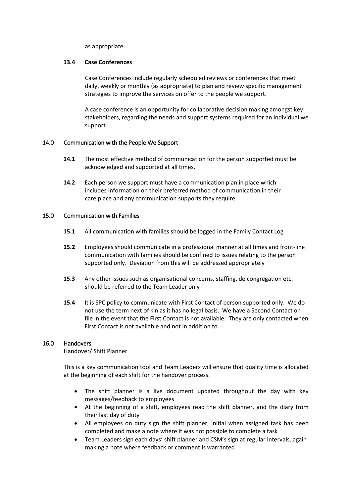as appropriate.

#### **13.4 Case Conferences**

Case Conferences include regularly scheduled reviews or conferences that meet daily, weekly or monthly (as appropriate) to plan and review specific management strategies to improve the services on offer to the people we support.

A case conference is an opportunity for collaborative decision making amongst key stakeholders, regarding the needs and support systems required for an individual we support

#### <span id="page-9-0"></span>14.0 Communication with the People We Support

- **14.1** The most effective method of communication for the person supported must be acknowledged and supported at all times.
- **14.2** Each person we support must have a communication plan in place which includes information on their preferred method of communication in their care place and any communication supports they require.

#### <span id="page-9-1"></span>15.0 Communication with Families

- **15.1** All communication with families should be logged in the Family Contact Log
- **15.2** Employees should communicate in a professional manner at all times and front-line communication with families should be confined to issues relating to the person supported only. Deviation from this will be addressed appropriately
- **15.3** Any other issues such as organisational concerns, staffing, de congregation etc. should be referred to the Team Leader only
- **15.4** It is SPC policy to communicate with First Contact of person supported only. We do not use the term next of kin as it has no legal basis. We have a Second Contact on file in the event that the First Contact is not available. They are only contacted when First Contact is not available and not in addition to.

#### <span id="page-9-2"></span>16.0 Handovers

Handover/ Shift Planner

This is a key communication tool and Team Leaders will ensure that quality time is allocated at the beginning of each shift for the handover process.

- The shift planner is a live document updated throughout the day with key messages/feedback to employees
- At the beginning of a shift, employees read the shift planner, and the diary from their last day of duty
- All employees on duty sign the shift planner, initial when assigned task has been completed and make a note where it was not possible to complete a task
- Team Leaders sign each days' shift planner and CSM's sign at regular intervals, again making a note where feedback or comment is warranted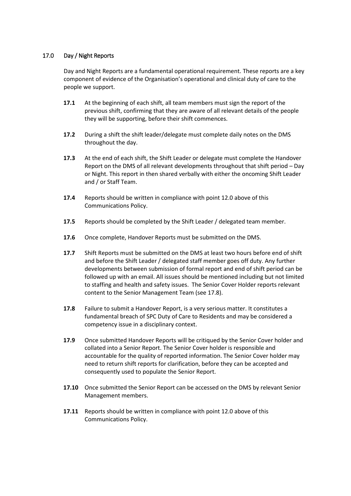#### <span id="page-10-0"></span>17.0 Day / Night Reports

Day and Night Reports are a fundamental operational requirement. These reports are a key component of evidence of the Organisation's operational and clinical duty of care to the people we support.

- **17.1** At the beginning of each shift, all team members must sign the report of the previous shift, confirming that they are aware of all relevant details of the people they will be supporting, before their shift commences.
- **17.2** During a shift the shift leader/delegate must complete daily notes on the DMS throughout the day.
- **17.3** At the end of each shift, the Shift Leader or delegate must complete the Handover Report on the DMS of all relevant developments throughout that shift period – Day or Night. This report in then shared verbally with either the oncoming Shift Leader and / or Staff Team.
- **17.4** Reports should be written in compliance with point 12.0 above of this Communications Policy.
- **17.5** Reports should be completed by the Shift Leader / delegated team member.
- **17.6** Once complete, Handover Reports must be submitted on the DMS.
- **17.7** Shift Reports must be submitted on the DMS at least two hours before end of shift and before the Shift Leader / delegated staff member goes off duty. Any further developments between submission of formal report and end of shift period can be followed up with an email. All issues should be mentioned including but not limited to staffing and health and safety issues. The Senior Cover Holder reports relevant content to the Senior Management Team (see 17.8).
- **17.8** Failure to submit a Handover Report, is a very serious matter. It constitutes a fundamental breach of SPC Duty of Care to Residents and may be considered a competency issue in a disciplinary context.
- **17.9** Once submitted Handover Reports will be critiqued by the Senior Cover holder and collated into a Senior Report. The Senior Cover holder is responsible and accountable for the quality of reported information. The Senior Cover holder may need to return shift reports for clarification, before they can be accepted and consequently used to populate the Senior Report.
- **17.10** Once submitted the Senior Report can be accessed on the DMS by relevant Senior Management members.
- **17.11** Reports should be written in compliance with point 12.0 above of this Communications Policy.